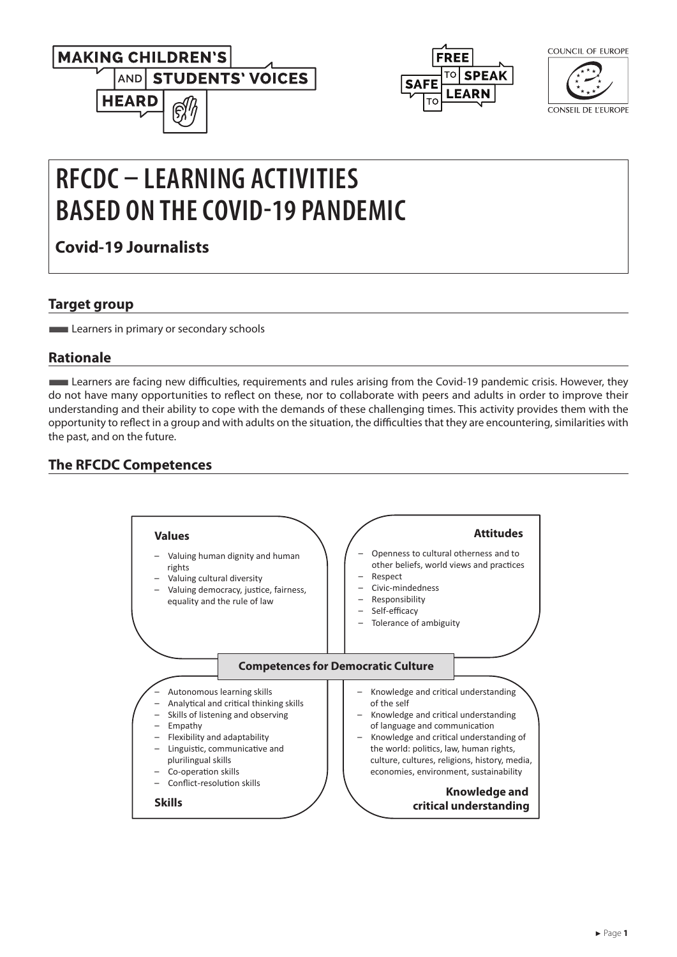





CONSEIL DE L'EUROPE

# **RFCDC – LEARNING ACTIVITIES BASED ON THE COVID-19 PANDEMIC**

**Covid-19 Journalists**

## **Target group**

**Learners in primary or secondary schools** 

## **Rationale**

■Learners are facing new difficulties, requirements and rules arising from the Covid-19 pandemic crisis. However, they do not have many opportunities to reflect on these, nor to collaborate with peers and adults in order to improve their understanding and their ability to cope with the demands of these challenging times. This activity provides them with the opportunity to reflect in a group and with adults on the situation, the difficulties that they are encountering, similarities with the past, and on the future.

# **The RFCDC Competences**

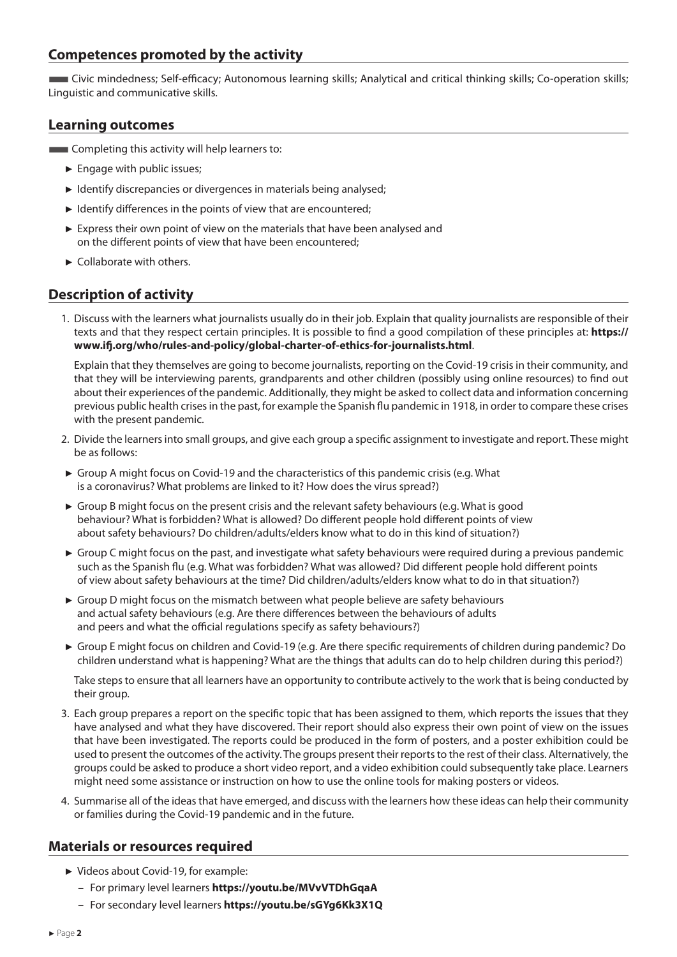#### **Competences promoted by the activity**

■Civic mindedness; Self-efficacy; Autonomous learning skills; Analytical and critical thinking skills; Co-operation skills; Linguistic and communicative skills.

#### **Learning outcomes**

**EXECOMPLER** Completing this activity will help learners to:

- ► Engage with public issues;
- ► Identify discrepancies or divergences in materials being analysed;
- ► Identify differences in the points of view that are encountered;
- ► Express their own point of view on the materials that have been analysed and on the different points of view that have been encountered;
- ► Collaborate with others.

## **Description of activity**

1. Discuss with the learners what journalists usually do in their job. Explain that quality journalists are responsible of their texts and that they respect certain principles. It is possible to find a good compilation of these principles at: **[https://](https://www.ifj.org/who/rules-and-policy/global-charter-of-ethics-for-journalists.html) [www.ifj.org/who/rules-and-policy/global-charter-of-ethics-for-journalists.html](https://www.ifj.org/who/rules-and-policy/global-charter-of-ethics-for-journalists.html)**.

 Explain that they themselves are going to become journalists, reporting on the Covid-19 crisis in their community, and that they will be interviewing parents, grandparents and other children (possibly using online resources) to find out about their experiences of the pandemic. Additionally, they might be asked to collect data and information concerning previous public health crises in the past, for example the Spanish flu pandemic in 1918, in order to compare these crises with the present pandemic.

- 2. Divide the learners into small groups, and give each group a specific assignment to investigate and report. These might be as follows:
- ► Group A might focus on Covid-19 and the characteristics of this pandemic crisis (e.g. What is a coronavirus? What problems are linked to it? How does the virus spread?)
- ► Group B might focus on the present crisis and the relevant safety behaviours (e.g. What is good behaviour? What is forbidden? What is allowed? Do different people hold different points of view about safety behaviours? Do children/adults/elders know what to do in this kind of situation?)
- ► Group C might focus on the past, and investigate what safety behaviours were required during a previous pandemic such as the Spanish flu (e.g. What was forbidden? What was allowed? Did different people hold different points of view about safety behaviours at the time? Did children/adults/elders know what to do in that situation?)
- ► Group D might focus on the mismatch between what people believe are safety behaviours and actual safety behaviours (e.g. Are there differences between the behaviours of adults and peers and what the official regulations specify as safety behaviours?)
- ► Group E might focus on children and Covid-19 (e.g. Are there specific requirements of children during pandemic? Do children understand what is happening? What are the things that adults can do to help children during this period?)

 Take steps to ensure that all learners have an opportunity to contribute actively to the work that is being conducted by their group.

- 3. Each group prepares a report on the specific topic that has been assigned to them, which reports the issues that they have analysed and what they have discovered. Their report should also express their own point of view on the issues that have been investigated. The reports could be produced in the form of posters, and a poster exhibition could be used to present the outcomes of the activity. The groups present their reports to the rest of their class. Alternatively, the groups could be asked to produce a short video report, and a video exhibition could subsequently take place. Learners might need some assistance or instruction on how to use the online tools for making posters or videos.
- 4. Summarise all of the ideas that have emerged, and discuss with the learners how these ideas can help their community or families during the Covid-19 pandemic and in the future.

#### **Materials or resources required**

- ► Videos about Covid-19, for example:
	- For primary level learners **<https://youtu.be/MVvVTDhGqaA>**
	- For secondary level learners **[https://youtu.be/sGYg6Kk3X1Q]( https://youtu.be/sGYg6Kk3X1Q)**